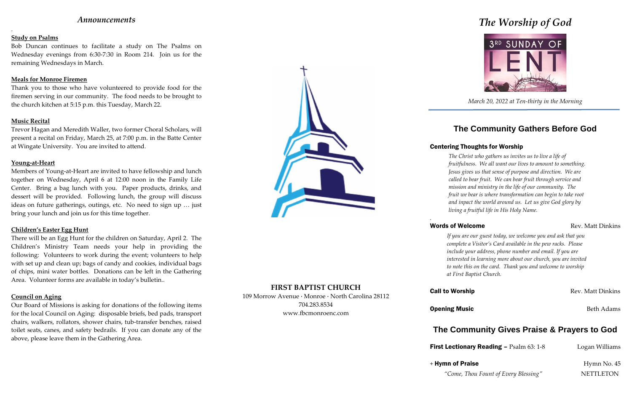## *Announcements*

.

### **Study on Psalms**

Bob Duncan continues to facilitate a study on The Psalms on Wednesday evenings from 6:30-7:30 in Room 214. Join us for the remaining Wednesdays in March.

### **Meals for Monroe Firemen**

Thank you to those who have volunteered to provide food for the firemen serving in our community. The food needs to be brought to the church kitchen at 5:15 p.m. this Tuesday, March 22.

### **Music Recital**

Trevor Hagan and Meredith Waller, two former Choral Scholars, will present a recital on Friday, March 25, at 7:00 p.m. in the Batte Center at Wingate University. You are invited to attend.

### **Young-at-Heart**

Members of Young-at-Heart are invited to have fellowship and lunch together on Wednesday, April 6 at 12:00 noon in the Family Life Center. Bring a bag lunch with you. Paper products, drinks, and dessert will be provided. Following lunch, the group will discuss ideas on future gatherings, outings, etc. No need to sign up … just bring your lunch and join us for this time together.

### **Children's Easter Egg Hunt**

There will be an Egg Hunt for the children on Saturday, April 2. The Children's Ministry Team needs your help in providing the following: Volunteers to work during the event; volunteers to help with set up and clean up; bags of candy and cookies, individual bags of chips, mini water bottles. Donations can be left in the Gathering Area. Volunteer forms are available in today's bulletin..

### **Council on Aging**

Our Board of Missions is asking for donations of the following items for the local Council on Aging: disposable briefs, bed pads, transport chairs, walkers, rollators, shower chairs, tub-transfer benches, raised toilet seats, canes, and safety bedrails. If you can donate any of the above, please leave them in the Gathering Area.



### **FIRST BAPTIST CHURCH**

109 Morrow Avenue · Monroe · North Carolina 28112 704.283.8534 www.fbcmonroenc.com

# *The Worship of God*



*March 20, 2022 at Ten-thirty in the Morning*

# **The Community Gathers Before God**

## Centering Thoughts for Worship

*The Christ who gathers us invites us to live a life of fruitfulness. We all want our lives to amount to something. Jesus gives us that sense of purpose and direction. We are called to bear fruit. We can bear fruit through service and mission and ministry in the life of our community. The fruit we bear is where transformation can begin to take root and inpact the world around us. Let us give God glory by living a fruitful life in His Holy Name.*

## Words of Welcome **Rev. Matt Dinkins** Rev. Matt Dinkins

*.*

First Lectionary Reading - Psalm 63: 1-8 Logan Williams

*If you are our guest today, we welcome you and ask that you complete a Visitor's Card available in the pew racks. Please include your address, phone number and email. If you are interested in learning more about our church, you are invited to note this on the card. Thank you and welcome to worship at First Baptist Church.*

**Call to Worship Call to Worship Rev. Matt Dinkins** 

**Opening Music** Beth Adams

# **The Community Gives Praise & Prayers to God**

*"Come, Thou Fount of Every Blessing"* NETTLETON

+ Hymn of Praise Hymn No. 45